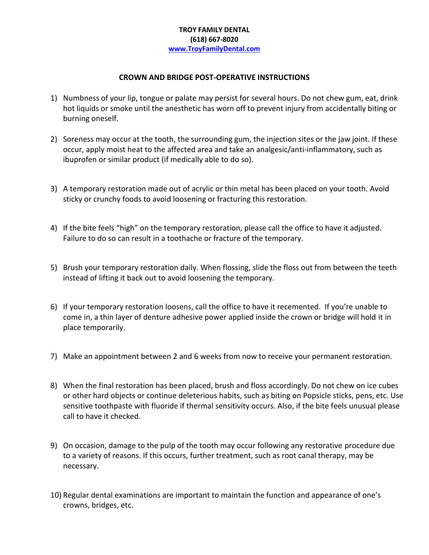## **TROY FAMILY DENTAL (618) 667-8020 [www.TroyFamilyDental.com](http://www.troyfamilydental.com/)**

## **CROWN AND BRIDGE POST-OPERATIVE INSTRUCTIONS**

- 1) Numbness of your lip, tongue or palate may persist for several hours. Do not chew gum, eat, drink hot liquids or smoke until the anesthetic has worn off to prevent injury from accidentally biting or burning oneself.
- 2) Soreness may occur at the tooth, the surrounding gum, the injection sites or the jaw joint. If these occur, apply moist heat to the affected area and take an analgesic/anti-inflammatory, such as ibuprofen or similar product (if medically able to do so).
- 3) A temporary restoration made out of acrylic or thin metal has been placed on your tooth. Avoid sticky or crunchy foods to avoid loosening or fracturing this restoration.
- 4) If the bite feels "high" on the temporary restoration, please call the office to have it adjusted. Failure to do so can result in a toothache or fracture of the temporary.
- 5) Brush your temporary restoration daily. When flossing, slide the floss out from between the teeth instead of lifting it back out to avoid loosening the temporary.
- 6) If your temporary restoration loosens, call the office to have it recemented. If you're unable to come in, a thin layer of denture adhesive power applied inside the crown or bridge will hold it in place temporarily.
- 7) Make an appointment between 2 and 6 weeks from now to receive your permanent restoration.
- 8) When the final restoration has been placed, brush and floss accordingly. Do not chew on ice cubes or other hard objects or continue deleterious habits, such as biting on Popsicle sticks, pens, etc. Use sensitive toothpaste with fluoride if thermal sensitivity occurs. Also, if the bite feels unusual please call to have it checked.
- 9) On occasion, damage to the pulp of the tooth may occur following any restorative procedure due to a variety of reasons. If this occurs, further treatment, such as root canal therapy, may be necessary.
- 10) Regular dental examinations are important to maintain the function and appearance of one's crowns, bridges, etc.